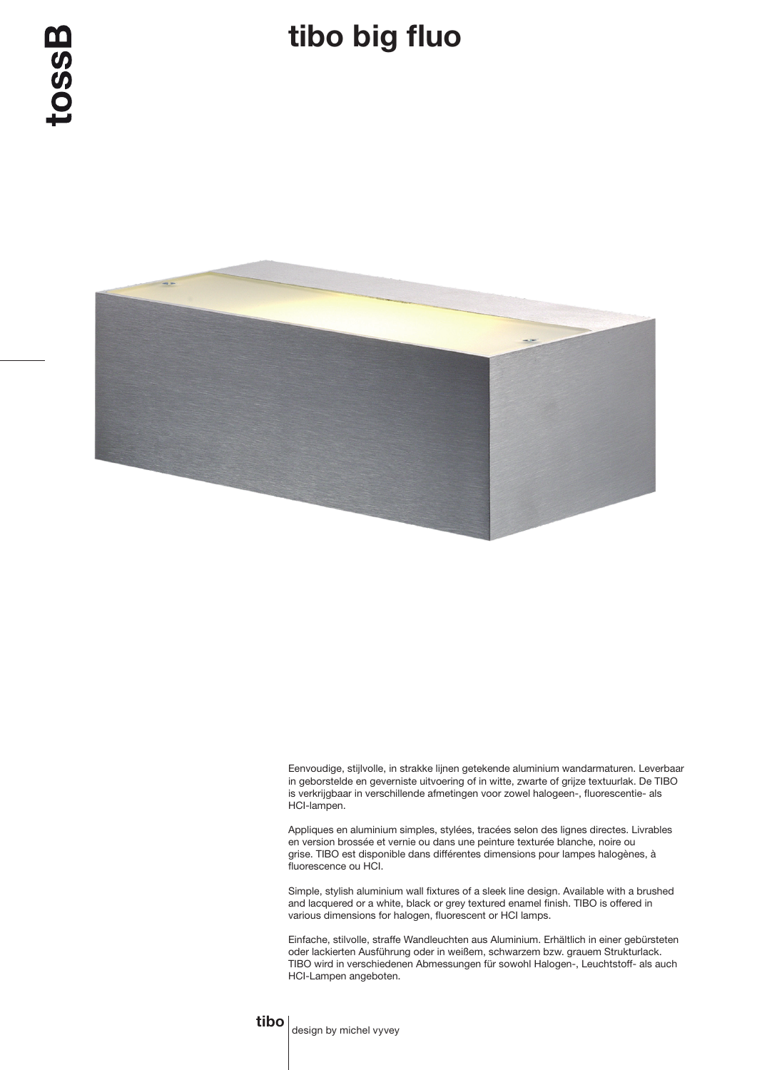## tibo big fluo



Eenvoudige, stijlvolle, in strakke lijnen getekende aluminium wandarmaturen. Leverbaar in geborstelde en geverniste uitvoering of in witte, zwarte of grijze textuurlak. De TIBO is verkrijgbaar in verschillende afmetingen voor zowel halogeen-, fluorescentie- als HCI-lampen.

Appliques en aluminium simples, stylées, tracées selon des lignes directes. Livrables en version brossée et vernie ou dans une peinture texturée blanche, noire ou grise. TIBO est disponible dans différentes dimensions pour lampes halogènes, à fluorescence ou HCI.

Simple, stylish aluminium wall fixtures of a sleek line design. Available with a brushed and lacquered or a white, black or grey textured enamel finish. TIBO is offered in various dimensions for halogen, fluorescent or HCI lamps.

Einfache, stilvolle, straffe Wandleuchten aus Aluminium. Erhältlich in einer gebürsteten oder lackierten Ausführung oder in weißem, schwarzem bzw. grauem Strukturlack. TIBO wird in verschiedenen Abmessungen für sowohl Halogen-, Leuchtstoff- als auch HCI-Lampen angeboten.